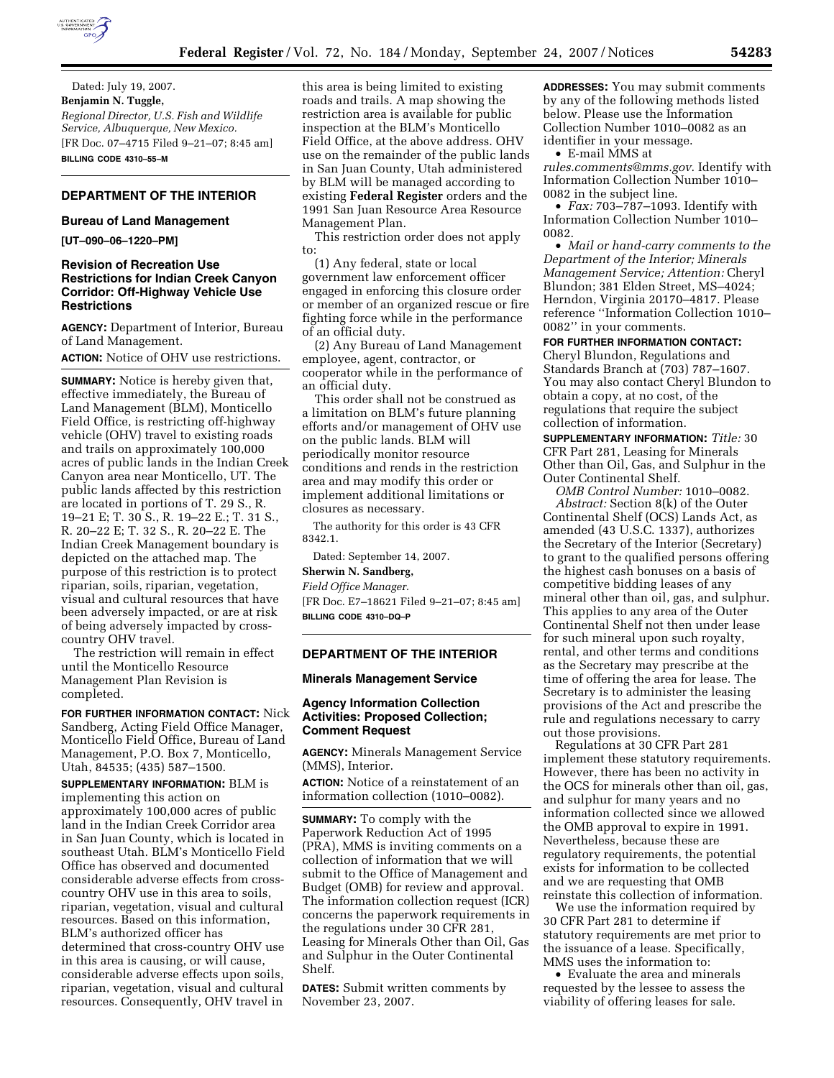

Dated: July 19, 2007. **Benjamin N. Tuggle,**  *Regional Director, U.S. Fish and Wildlife Service, Albuquerque, New Mexico.*  [FR Doc. 07–4715 Filed 9–21–07; 8:45 am] **BILLING CODE 4310–55–M** 

# **DEPARTMENT OF THE INTERIOR**

#### **Bureau of Land Management**

**[UT–090–06–1220–PM]** 

# **Revision of Recreation Use Restrictions for Indian Creek Canyon Corridor: Off-Highway Vehicle Use Restrictions**

**AGENCY:** Department of Interior, Bureau of Land Management.

**ACTION:** Notice of OHV use restrictions.

**SUMMARY:** Notice is hereby given that, effective immediately, the Bureau of Land Management (BLM), Monticello Field Office, is restricting off-highway vehicle (OHV) travel to existing roads and trails on approximately 100,000 acres of public lands in the Indian Creek Canyon area near Monticello, UT. The public lands affected by this restriction are located in portions of T. 29 S., R. 19–21 E; T. 30 S., R. 19–22 E.; T. 31 S., R. 20–22 E; T. 32 S., R. 20–22 E. The Indian Creek Management boundary is depicted on the attached map. The purpose of this restriction is to protect riparian, soils, riparian, vegetation, visual and cultural resources that have been adversely impacted, or are at risk of being adversely impacted by crosscountry OHV travel.

The restriction will remain in effect until the Monticello Resource Management Plan Revision is completed.

**FOR FURTHER INFORMATION CONTACT:** Nick Sandberg, Acting Field Office Manager, Monticello Field Office, Bureau of Land Management, P.O. Box 7, Monticello, Utah, 84535; (435) 587–1500.

**SUPPLEMENTARY INFORMATION:** BLM is implementing this action on approximately 100,000 acres of public land in the Indian Creek Corridor area in San Juan County, which is located in southeast Utah. BLM's Monticello Field Office has observed and documented considerable adverse effects from crosscountry OHV use in this area to soils, riparian, vegetation, visual and cultural resources. Based on this information, BLM's authorized officer has determined that cross-country OHV use in this area is causing, or will cause, considerable adverse effects upon soils, riparian, vegetation, visual and cultural resources. Consequently, OHV travel in

this area is being limited to existing roads and trails. A map showing the restriction area is available for public inspection at the BLM's Monticello Field Office, at the above address. OHV use on the remainder of the public lands in San Juan County, Utah administered by BLM will be managed according to existing **Federal Register** orders and the 1991 San Juan Resource Area Resource Management Plan.

This restriction order does not apply to:

(1) Any federal, state or local government law enforcement officer engaged in enforcing this closure order or member of an organized rescue or fire fighting force while in the performance of an official duty.

(2) Any Bureau of Land Management employee, agent, contractor, or cooperator while in the performance of an official duty.

This order shall not be construed as a limitation on BLM's future planning efforts and/or management of OHV use on the public lands. BLM will periodically monitor resource conditions and rends in the restriction area and may modify this order or implement additional limitations or closures as necessary.

The authority for this order is 43 CFR 8342.1.

Dated: September 14, 2007. **Sherwin N. Sandberg,**  *Field Office Manager.*  [FR Doc. E7–18621 Filed 9–21–07; 8:45 am] **BILLING CODE 4310–DQ–P** 

# **DEPARTMENT OF THE INTERIOR**

## **Minerals Management Service**

# **Agency Information Collection Activities: Proposed Collection; Comment Request**

**AGENCY:** Minerals Management Service (MMS), Interior.

**ACTION:** Notice of a reinstatement of an information collection (1010–0082).

**SUMMARY:** To comply with the Paperwork Reduction Act of 1995 (PRA), MMS is inviting comments on a collection of information that we will submit to the Office of Management and Budget (OMB) for review and approval. The information collection request (ICR) concerns the paperwork requirements in the regulations under 30 CFR 281, Leasing for Minerals Other than Oil, Gas and Sulphur in the Outer Continental Shelf.

**DATES:** Submit written comments by November 23, 2007.

**ADDRESSES:** You may submit comments by any of the following methods listed below. Please use the Information Collection Number 1010–0082 as an identifier in your message.

• E-mail MMS at

*rules.comments@mms.gov*. Identify with Information Collection Number 1010– 0082 in the subject line.

• *Fax:* 703–787–1093. Identify with Information Collection Number 1010– 0082.

• *Mail or hand-carry comments to the Department of the Interior; Minerals Management Service; Attention:* Cheryl Blundon; 381 Elden Street, MS–4024; Herndon, Virginia 20170–4817. Please reference ''Information Collection 1010– 0082'' in your comments.

**FOR FURTHER INFORMATION CONTACT:** 

Cheryl Blundon, Regulations and Standards Branch at (703) 787–1607. You may also contact Cheryl Blundon to obtain a copy, at no cost, of the regulations that require the subject collection of information.

**SUPPLEMENTARY INFORMATION:** *Title:* 30 CFR Part 281, Leasing for Minerals Other than Oil, Gas, and Sulphur in the Outer Continental Shelf.

*OMB Control Number:* 1010–0082. *Abstract:* Section 8(k) of the Outer Continental Shelf (OCS) Lands Act, as amended (43 U.S.C. 1337), authorizes the Secretary of the Interior (Secretary) to grant to the qualified persons offering the highest cash bonuses on a basis of competitive bidding leases of any mineral other than oil, gas, and sulphur. This applies to any area of the Outer Continental Shelf not then under lease for such mineral upon such royalty, rental, and other terms and conditions as the Secretary may prescribe at the time of offering the area for lease. The Secretary is to administer the leasing provisions of the Act and prescribe the rule and regulations necessary to carry out those provisions.

Regulations at 30 CFR Part 281 implement these statutory requirements. However, there has been no activity in the OCS for minerals other than oil, gas, and sulphur for many years and no information collected since we allowed the OMB approval to expire in 1991. Nevertheless, because these are regulatory requirements, the potential exists for information to be collected and we are requesting that OMB reinstate this collection of information.

We use the information required by 30 CFR Part 281 to determine if statutory requirements are met prior to the issuance of a lease. Specifically, MMS uses the information to:

• Evaluate the area and minerals requested by the lessee to assess the viability of offering leases for sale.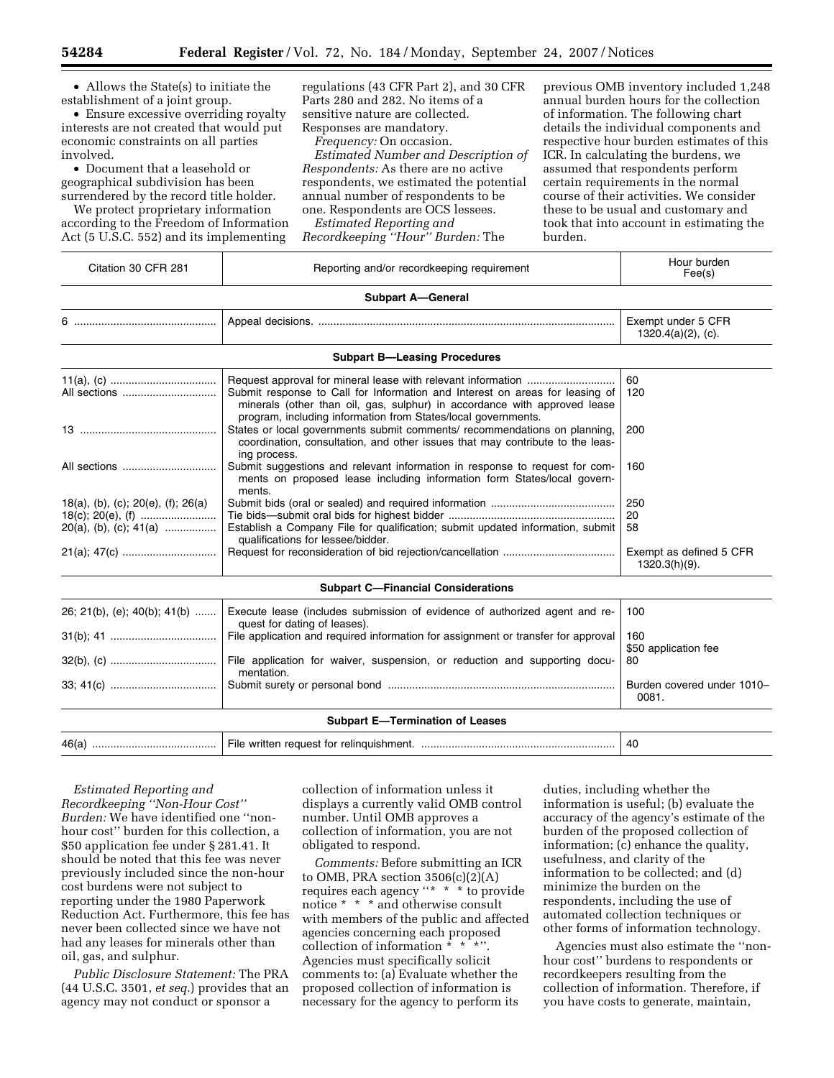• Allows the State(s) to initiate the establishment of a joint group.

• Ensure excessive overriding royalty interests are not created that would put economic constraints on all parties involved.

• Document that a leasehold or geographical subdivision has been surrendered by the record title holder.

We protect proprietary information according to the Freedom of Information Act (5 U.S.C. 552) and its implementing

regulations (43 CFR Part 2), and 30 CFR Parts 280 and 282. No items of a sensitive nature are collected. Responses are mandatory.

*Frequency:* On occasion.

*Estimated Number and Description of Respondents:* As there are no active respondents, we estimated the potential annual number of respondents to be one. Respondents are OCS lessees.

*Estimated Reporting and Recordkeeping ''Hour'' Burden:* The

previous OMB inventory included 1,248 annual burden hours for the collection of information. The following chart details the individual components and respective hour burden estimates of this ICR. In calculating the burdens, we assumed that respondents perform certain requirements in the normal course of their activities. We consider these to be usual and customary and took that into account in estimating the burden.

| <b>Subpart A-General</b><br>Exempt under 5 CFR<br>$1320.4(a)(2)$ , (c).<br><b>Subpart B-Leasing Procedures</b><br>60<br>Submit response to Call for Information and Interest on areas for leasing of<br>120<br>minerals (other than oil, gas, sulphur) in accordance with approved lease<br>program, including information from States/local governments.<br>States or local governments submit comments/ recommendations on planning,<br>200<br>coordination, consultation, and other issues that may contribute to the leas-<br>ing process.<br>Submit suggestions and relevant information in response to request for com-<br>160<br>ments on proposed lease including information form States/local govern-<br>ments.<br>250<br>20<br>Establish a Company File for qualification; submit updated information, submit<br>58<br>qualifications for lessee/bidder.<br>Exempt as defined 5 CFR<br>1320.3(h)(9).<br><b>Subpart C-Financial Considerations</b><br>Execute lease (includes submission of evidence of authorized agent and re-<br>100<br>quest for dating of leases).<br>File application and required information for assignment or transfer for approval<br>160<br>\$50 application fee<br>File application for waiver, suspension, or reduction and supporting docu-<br>80<br>mentation.<br>Burden covered under 1010-<br>0081.<br><b>Subpart E-Termination of Leases</b> | Citation 30 CFR 281                                             | Reporting and/or recordkeeping requirement | Hour burden<br>Fee(s) |  |
|------------------------------------------------------------------------------------------------------------------------------------------------------------------------------------------------------------------------------------------------------------------------------------------------------------------------------------------------------------------------------------------------------------------------------------------------------------------------------------------------------------------------------------------------------------------------------------------------------------------------------------------------------------------------------------------------------------------------------------------------------------------------------------------------------------------------------------------------------------------------------------------------------------------------------------------------------------------------------------------------------------------------------------------------------------------------------------------------------------------------------------------------------------------------------------------------------------------------------------------------------------------------------------------------------------------------------------------------------------------------------------------|-----------------------------------------------------------------|--------------------------------------------|-----------------------|--|
|                                                                                                                                                                                                                                                                                                                                                                                                                                                                                                                                                                                                                                                                                                                                                                                                                                                                                                                                                                                                                                                                                                                                                                                                                                                                                                                                                                                          |                                                                 |                                            |                       |  |
|                                                                                                                                                                                                                                                                                                                                                                                                                                                                                                                                                                                                                                                                                                                                                                                                                                                                                                                                                                                                                                                                                                                                                                                                                                                                                                                                                                                          |                                                                 |                                            |                       |  |
|                                                                                                                                                                                                                                                                                                                                                                                                                                                                                                                                                                                                                                                                                                                                                                                                                                                                                                                                                                                                                                                                                                                                                                                                                                                                                                                                                                                          |                                                                 |                                            |                       |  |
|                                                                                                                                                                                                                                                                                                                                                                                                                                                                                                                                                                                                                                                                                                                                                                                                                                                                                                                                                                                                                                                                                                                                                                                                                                                                                                                                                                                          | All sections                                                    |                                            |                       |  |
|                                                                                                                                                                                                                                                                                                                                                                                                                                                                                                                                                                                                                                                                                                                                                                                                                                                                                                                                                                                                                                                                                                                                                                                                                                                                                                                                                                                          |                                                                 |                                            |                       |  |
|                                                                                                                                                                                                                                                                                                                                                                                                                                                                                                                                                                                                                                                                                                                                                                                                                                                                                                                                                                                                                                                                                                                                                                                                                                                                                                                                                                                          | All sections                                                    |                                            |                       |  |
|                                                                                                                                                                                                                                                                                                                                                                                                                                                                                                                                                                                                                                                                                                                                                                                                                                                                                                                                                                                                                                                                                                                                                                                                                                                                                                                                                                                          | 18(a), (b), (c); 20(e), (f); 26(a)<br>$20(a)$ , (b), (c); 41(a) |                                            |                       |  |
|                                                                                                                                                                                                                                                                                                                                                                                                                                                                                                                                                                                                                                                                                                                                                                                                                                                                                                                                                                                                                                                                                                                                                                                                                                                                                                                                                                                          |                                                                 |                                            |                       |  |
|                                                                                                                                                                                                                                                                                                                                                                                                                                                                                                                                                                                                                                                                                                                                                                                                                                                                                                                                                                                                                                                                                                                                                                                                                                                                                                                                                                                          | 26; 21(b), (e); 40(b); 41(b)                                    |                                            |                       |  |
|                                                                                                                                                                                                                                                                                                                                                                                                                                                                                                                                                                                                                                                                                                                                                                                                                                                                                                                                                                                                                                                                                                                                                                                                                                                                                                                                                                                          |                                                                 |                                            |                       |  |
|                                                                                                                                                                                                                                                                                                                                                                                                                                                                                                                                                                                                                                                                                                                                                                                                                                                                                                                                                                                                                                                                                                                                                                                                                                                                                                                                                                                          |                                                                 |                                            |                       |  |
|                                                                                                                                                                                                                                                                                                                                                                                                                                                                                                                                                                                                                                                                                                                                                                                                                                                                                                                                                                                                                                                                                                                                                                                                                                                                                                                                                                                          |                                                                 |                                            |                       |  |
|                                                                                                                                                                                                                                                                                                                                                                                                                                                                                                                                                                                                                                                                                                                                                                                                                                                                                                                                                                                                                                                                                                                                                                                                                                                                                                                                                                                          |                                                                 |                                            | 40                    |  |

*Estimated Reporting and Recordkeeping ''Non-Hour Cost'' Burden:* We have identified one ''nonhour cost'' burden for this collection, a \$50 application fee under § 281.41. It should be noted that this fee was never previously included since the non-hour cost burdens were not subject to reporting under the 1980 Paperwork Reduction Act. Furthermore, this fee has never been collected since we have not had any leases for minerals other than oil, gas, and sulphur.

*Public Disclosure Statement:* The PRA (44 U.S.C. 3501, *et seq.*) provides that an agency may not conduct or sponsor a

collection of information unless it displays a currently valid OMB control number. Until OMB approves a collection of information, you are not obligated to respond.

*Comments:* Before submitting an ICR to OMB, PRA section  $3506(c)(2)(A)$ requires each agency ''\* \* \* to provide notice \* \* \* and otherwise consult with members of the public and affected agencies concerning each proposed collection of information \* \* \*''. Agencies must specifically solicit comments to: (a) Evaluate whether the proposed collection of information is necessary for the agency to perform its

duties, including whether the information is useful; (b) evaluate the accuracy of the agency's estimate of the burden of the proposed collection of information; (c) enhance the quality, usefulness, and clarity of the information to be collected; and (d) minimize the burden on the respondents, including the use of automated collection techniques or other forms of information technology.

Agencies must also estimate the ''nonhour cost'' burdens to respondents or recordkeepers resulting from the collection of information. Therefore, if you have costs to generate, maintain,